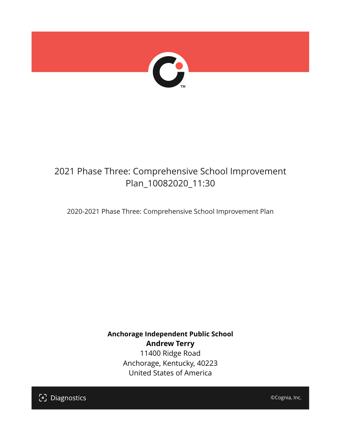

## 2021 Phase Three: Comprehensive School Improvement Plan\_10082020\_11:30

2020-2021 Phase Three: Comprehensive School Improvement Plan

**Anchorage Independent Public School Andrew Terry** 11400 Ridge Road Anchorage, Kentucky, 40223 United States of America

[၁] Diagnostics

©Cognia, Inc.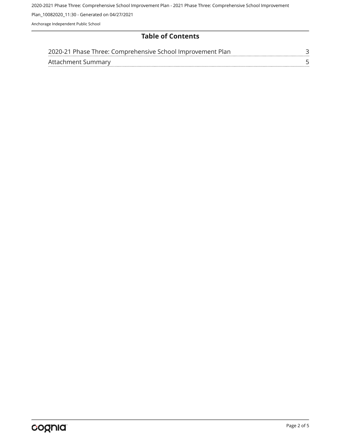2020-2021 Phase Three: Comprehensive School Improvement Plan - 2021 Phase Three: Comprehensive School Improvement

Plan\_10082020\_11:30 - Generated on 04/27/2021

Anchorage Independent Public School

#### **Table of Contents**

| 2020-21 Phase Three: Comprehensive School Improvement Plan |  |
|------------------------------------------------------------|--|
| Attachment Summary                                         |  |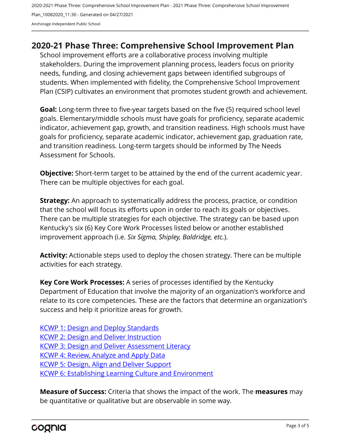2020-2021 Phase Three: Comprehensive School Improvement Plan - 2021 Phase Three: Comprehensive School Improvement Plan\_10082020\_11:30 - Generated on 04/27/2021 Anchorage Independent Public School

### <span id="page-2-0"></span>**2020-21 Phase Three: Comprehensive School Improvement Plan**

School improvement efforts are a collaborative process involving multiple stakeholders. During the improvement planning process, leaders focus on priority needs, funding, and closing achievement gaps between identified subgroups of students. When implemented with fidelity, the Comprehensive School Improvement Plan (CSIP) cultivates an environment that promotes student growth and achievement.

**Goal:** Long-term three to five-year targets based on the five (5) required school level goals. Elementary/middle schools must have goals for proficiency, separate academic indicator, achievement gap, growth, and transition readiness. High schools must have goals for proficiency, separate academic indicator, achievement gap, graduation rate, and transition readiness. Long-term targets should be informed by The Needs Assessment for Schools.

**Objective:** Short-term target to be attained by the end of the current academic year. There can be multiple objectives for each goal.

**Strategy:** An approach to systematically address the process, practice, or condition that the school will focus its efforts upon in order to reach its goals or objectives. There can be multiple strategies for each objective. The strategy can be based upon Kentucky's six (6) Key Core Work Processes listed below or another established improvement approach (i.e. *Six Sigma, Shipley, Baldridge, etc.*).

**Activity:** Actionable steps used to deploy the chosen strategy. There can be multiple activities for each strategy.

**Key Core Work Processes:** A series of processes identified by the Kentucky Department of Education that involve the majority of an organization's workforce and relate to its core competencies. These are the factors that determine an organization's success and help it prioritize areas for growth.

[KCWP 1: Design and Deploy Standards](https://education.ky.gov/school/csip/Documents/KCWP%201%20Strategic%20Design%20and%20Deploy%20Standards.pdf) [KCWP 2: Design and Deliver Instruction](https://education.ky.gov/school/csip/Documents/KCWP%202%20Strategic%20Design%20and%20Deliver%20Instruction.pdf) [KCWP 3: Design and Deliver Assessment Literacy](https://education.ky.gov/school/csip/Documents/KCWP%203%20Strategic%20Design%20and%20Deliver%20Assessment%20Literacy.pdf) [KCWP 4: Review, Analyze and Apply Data](https://education.ky.gov/school/csip/Documents/KCWP%204%20Strategic%20Review%20Analyze%20and%20Apply%20Data.pdf) [KCWP 5: Design, Align and Deliver Support](https://education.ky.gov/school/csip/Documents/KCWP%205%20Strategic%20Design%20Align%20Deliver%20Support%20Processes.pdf) [KCWP 6: Establishing Learning Culture and Environment](https://education.ky.gov/school/csip/Documents/KCWP%206%20Strategic%20Establish%20Learning%20Culture%20and%20Environment.pdf)

**Measure of Success:** Criteria that shows the impact of the work. The **measures** may be quantitative or qualitative but are observable in some way.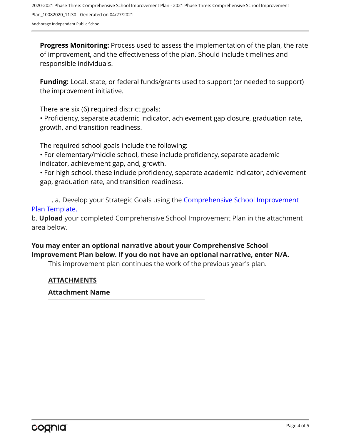**Progress Monitoring:** Process used to assess the implementation of the plan, the rate of improvement, and the effectiveness of the plan. Should include timelines and responsible individuals.

**Funding:** Local, state, or federal funds/grants used to support (or needed to support) the improvement initiative.

There are six (6) required district goals:

• Proficiency, separate academic indicator, achievement gap closure, graduation rate, growth, and transition readiness.

The required school goals include the following:

• For elementary/middle school, these include proficiency, separate academic indicator, achievement gap, and, growth.

• For high school, these include proficiency, separate academic indicator, achievement gap, graduation rate, and transition readiness.

. a. Develop your Strategic Goals using the **[Comprehensive School Improvement](https://education.ky.gov/school/csip/Documents/KDE%20Comprehensive%20Improvement%20Plan%20for%20School.docx)** [Plan Template.](https://education.ky.gov/school/csip/Documents/KDE%20Comprehensive%20Improvement%20Plan%20for%20School.docx)

b. **Upload** your completed Comprehensive School Improvement Plan in the attachment area below.

#### **You may enter an optional narrative about your Comprehensive School Improvement Plan below. If you do not have an optional narrative, enter N/A.**

This improvement plan continues the work of the previous year's plan.

#### **ATTACHMENTS**

#### **Attachment Name**